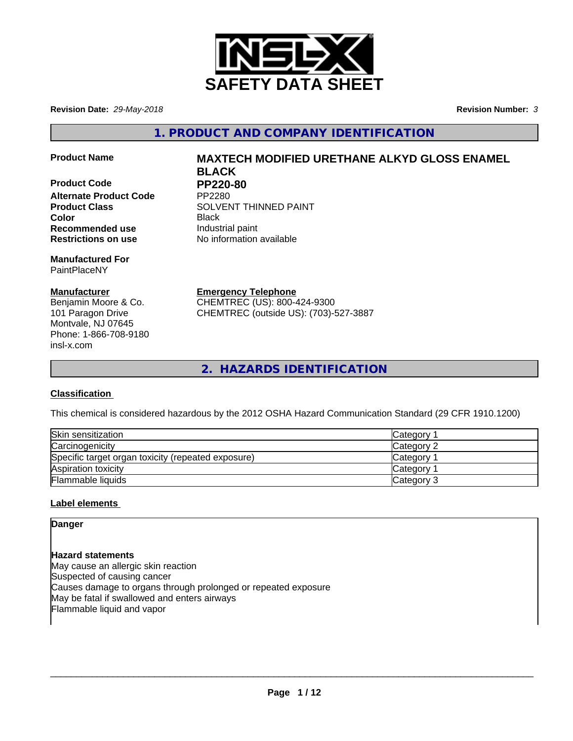

**Revision Date:** *29-May-2018* **Revision Number:** *3*

**1. PRODUCT AND COMPANY IDENTIFICATION**

**Product Code PP220-80**<br>Alternate Product Code PP2280 **Alternate Product Code Recommended use Industrial paint Restrictions on use** No information available

**Manufactured For** PaintPlaceNY

## **Manufacturer**

Benjamin Moore & Co. 101 Paragon Drive Montvale, NJ 07645 Phone: 1-866-708-9180 insl-x.com

# **Product Name MAXTECH MODIFIED URETHANE ALKYD GLOSS ENAMEL BLACK**

**Product Class SOLVENT THINNED PAINT Color** Black

> **Emergency Telephone** CHEMTREC (US): 800-424-9300

CHEMTREC (outside US): (703)-527-3887

**2. HAZARDS IDENTIFICATION**

## **Classification**

This chemical is considered hazardous by the 2012 OSHA Hazard Communication Standard (29 CFR 1910.1200)

| Skin sensitization                                 | Category        |
|----------------------------------------------------|-----------------|
| Carcinogenicity                                    | Category 2      |
| Specific target organ toxicity (repeated exposure) | <b>Category</b> |
| Aspiration toxicity                                | <b>Category</b> |
| Flammable liquids                                  | Category 3      |

## **Label elements**

**Danger**

**Hazard statements** May cause an allergic skin reaction Suspected of causing cancer Causes damage to organs through prolonged or repeated exposure May be fatal if swallowed and enters airways Flammable liquid and vapor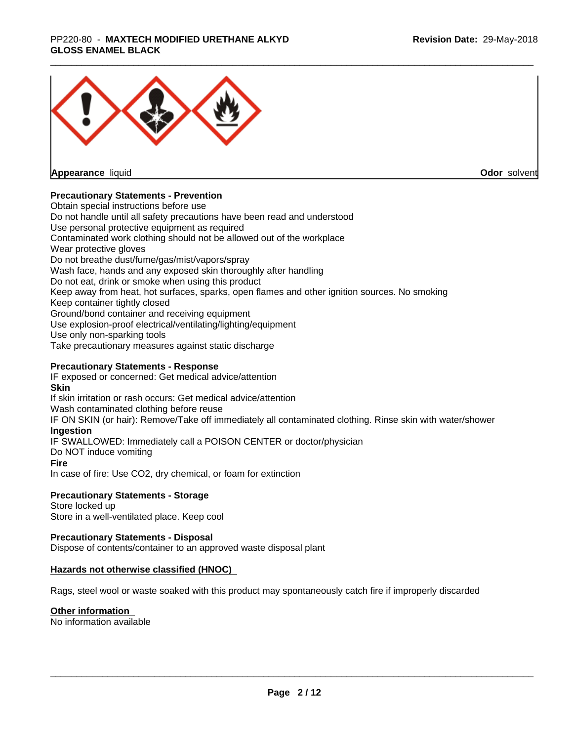#### \_\_\_\_\_\_\_\_\_\_\_\_\_\_\_\_\_\_\_\_\_\_\_\_\_\_\_\_\_\_\_\_\_\_\_\_\_\_\_\_\_\_\_\_\_\_\_\_\_\_\_\_\_\_\_\_\_\_\_\_\_\_\_\_\_\_\_\_\_\_\_\_\_\_\_\_\_\_\_\_\_\_\_\_\_\_\_\_\_\_\_\_\_ PP220-80 - **MAXTECH MODIFIED URETHANE ALKYD GLOSS ENAMEL BLACK**



**Appearance** liquid

**Odor** solvent

#### **Precautionary Statements - Prevention**

Obtain special instructions before use Do not handle until all safety precautions have been read and understood Use personal protective equipment as required Contaminated work clothing should not be allowed out of the workplace Wear protective gloves Do not breathe dust/fume/gas/mist/vapors/spray Wash face, hands and any exposed skin thoroughly after handling Do not eat, drink or smoke when using this product Keep away from heat, hot surfaces, sparks, open flames and other ignition sources. No smoking Keep container tightly closed Ground/bond container and receiving equipment Use explosion-proof electrical/ventilating/lighting/equipment Use only non-sparking tools Take precautionary measures against static discharge

#### **Precautionary Statements - Response**

IF exposed or concerned: Get medical advice/attention **Skin** If skin irritation or rash occurs: Get medical advice/attention Wash contaminated clothing before reuse IF ON SKIN (or hair): Remove/Take off immediately all contaminated clothing. Rinse skin with water/shower **Ingestion** IF SWALLOWED: Immediately call a POISON CENTER or doctor/physician Do NOT induce vomiting **Fire** In case of fire: Use CO2, dry chemical, or foam for extinction

#### **Precautionary Statements - Storage**

Store locked up Store in a well-ventilated place. Keep cool

#### **Precautionary Statements - Disposal**

Dispose of contents/container to an approved waste disposal plant

#### **Hazards not otherwise classified (HNOC)**

Rags, steel wool or waste soaked with this product may spontaneously catch fire if improperly discarded

#### **Other information**

No information available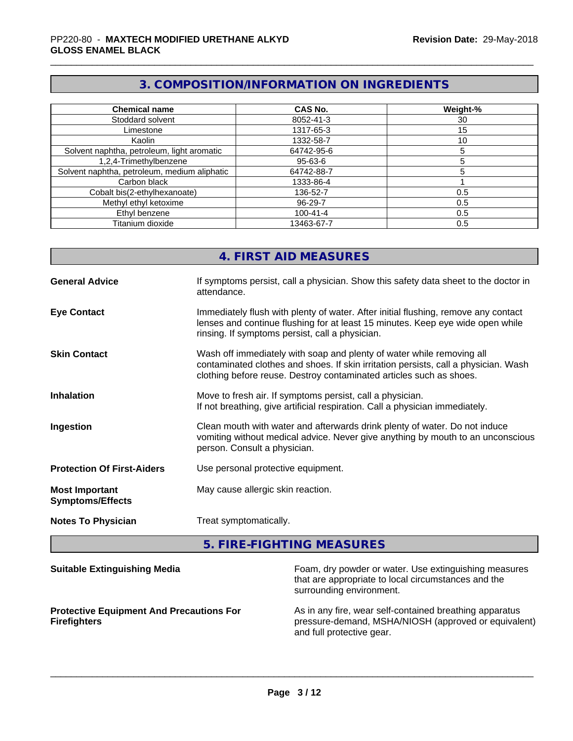## **3. COMPOSITION/INFORMATION ON INGREDIENTS**

| <b>Chemical name</b>                         | CAS No.        | Weight-% |
|----------------------------------------------|----------------|----------|
| Stoddard solvent                             | 8052-41-3      | 30       |
| Limestone                                    | 1317-65-3      | 15       |
| Kaolin                                       | 1332-58-7      | 10       |
| Solvent naphtha, petroleum, light aromatic   | 64742-95-6     |          |
| 1,2,4-Trimethylbenzene                       | 95-63-6        |          |
| Solvent naphtha, petroleum, medium aliphatic | 64742-88-7     |          |
| Carbon black                                 | 1333-86-4      |          |
| Cobalt bis(2-ethylhexanoate)                 | 136-52-7       | 0.5      |
| Methyl ethyl ketoxime                        | 96-29-7        | 0.5      |
| Ethyl benzene                                | $100 - 41 - 4$ | 0.5      |
| Titanium dioxide                             | 13463-67-7     | 0.5      |

## **4. FIRST AID MEASURES**

| <b>General Advice</b>                            | If symptoms persist, call a physician. Show this safety data sheet to the doctor in<br>attendance.                                                                                                                                  |
|--------------------------------------------------|-------------------------------------------------------------------------------------------------------------------------------------------------------------------------------------------------------------------------------------|
| <b>Eye Contact</b>                               | Immediately flush with plenty of water. After initial flushing, remove any contact<br>lenses and continue flushing for at least 15 minutes. Keep eye wide open while<br>rinsing. If symptoms persist, call a physician.             |
| <b>Skin Contact</b>                              | Wash off immediately with soap and plenty of water while removing all<br>contaminated clothes and shoes. If skin irritation persists, call a physician. Wash<br>clothing before reuse. Destroy contaminated articles such as shoes. |
| <b>Inhalation</b>                                | Move to fresh air. If symptoms persist, call a physician.<br>If not breathing, give artificial respiration. Call a physician immediately.                                                                                           |
| Ingestion                                        | Clean mouth with water and afterwards drink plenty of water. Do not induce<br>vomiting without medical advice. Never give anything by mouth to an unconscious<br>person. Consult a physician.                                       |
| <b>Protection Of First-Aiders</b>                | Use personal protective equipment.                                                                                                                                                                                                  |
| <b>Most Important</b><br><b>Symptoms/Effects</b> | May cause allergic skin reaction.                                                                                                                                                                                                   |
| <b>Notes To Physician</b>                        | Treat symptomatically.                                                                                                                                                                                                              |

## **5. FIRE-FIGHTING MEASURES**

| <b>Suitable Extinguishing Media</b>                                    | Foam, dry powder or water. Use extinguishing measures<br>that are appropriate to local circumstances and the<br>surrounding environment.     |
|------------------------------------------------------------------------|----------------------------------------------------------------------------------------------------------------------------------------------|
| <b>Protective Equipment And Precautions For</b><br><b>Firefighters</b> | As in any fire, wear self-contained breathing apparatus<br>pressure-demand, MSHA/NIOSH (approved or equivalent)<br>and full protective gear. |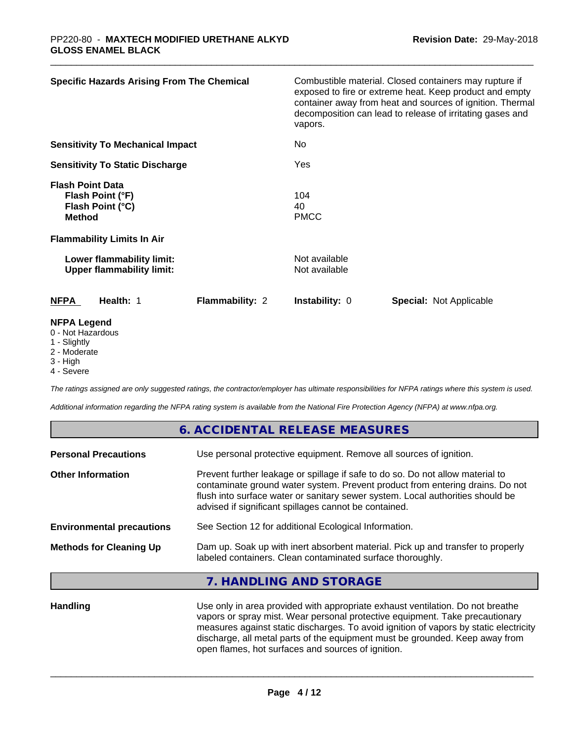| <b>Specific Hazards Arising From The Chemical</b>                                | Combustible material. Closed containers may rupture if<br>exposed to fire or extreme heat. Keep product and empty<br>container away from heat and sources of ignition. Thermal<br>decomposition can lead to release of irritating gases and<br>vapors. |
|----------------------------------------------------------------------------------|--------------------------------------------------------------------------------------------------------------------------------------------------------------------------------------------------------------------------------------------------------|
| <b>Sensitivity To Mechanical Impact</b>                                          | No                                                                                                                                                                                                                                                     |
| <b>Sensitivity To Static Discharge</b>                                           | Yes                                                                                                                                                                                                                                                    |
| <b>Flash Point Data</b><br>Flash Point (°F)<br>Flash Point (°C)<br><b>Method</b> | 104<br>40<br><b>PMCC</b>                                                                                                                                                                                                                               |
| <b>Flammability Limits In Air</b>                                                |                                                                                                                                                                                                                                                        |
| Lower flammability limit:<br><b>Upper flammability limit:</b>                    | Not available<br>Not available                                                                                                                                                                                                                         |
| Flammability: 2<br><b>NFPA</b><br>Health: 1                                      | Instability: 0<br><b>Special: Not Applicable</b>                                                                                                                                                                                                       |
| <b>NFPA Legend</b><br>0 - Not Hazardous<br>1 Clinhthi                            |                                                                                                                                                                                                                                                        |

- 1 Slightly
- 2 Moderate
- 3 High 4 - Severe

*The ratings assigned are only suggested ratings, the contractor/employer has ultimate responsibilities for NFPA ratings where this system is used.*

*Additional information regarding the NFPA rating system is available from the National Fire Protection Agency (NFPA) at www.nfpa.org.*

|                                  | 6. ACCIDENTAL RELEASE MEASURES                                                                                                                                                                                                                                                                             |
|----------------------------------|------------------------------------------------------------------------------------------------------------------------------------------------------------------------------------------------------------------------------------------------------------------------------------------------------------|
| <b>Personal Precautions</b>      | Use personal protective equipment. Remove all sources of ignition.                                                                                                                                                                                                                                         |
| <b>Other Information</b>         | Prevent further leakage or spillage if safe to do so. Do not allow material to<br>contaminate ground water system. Prevent product from entering drains. Do not<br>flush into surface water or sanitary sewer system. Local authorities should be<br>advised if significant spillages cannot be contained. |
| <b>Environmental precautions</b> | See Section 12 for additional Ecological Information.                                                                                                                                                                                                                                                      |
| <b>Methods for Cleaning Up</b>   | Dam up. Soak up with inert absorbent material. Pick up and transfer to properly<br>labeled containers. Clean contaminated surface thoroughly.                                                                                                                                                              |
|                                  | 7. HANDLING AND STORAGE                                                                                                                                                                                                                                                                                    |
|                                  |                                                                                                                                                                                                                                                                                                            |

Handling **Handling** Use only in area provided with appropriate exhaust ventilation. Do not breathe vapors or spray mist. Wear personal protective equipment. Take precautionary measures against static discharges. To avoid ignition of vapors by static electricity discharge, all metal parts of the equipment must be grounded. Keep away from open flames, hot surfaces and sources of ignition.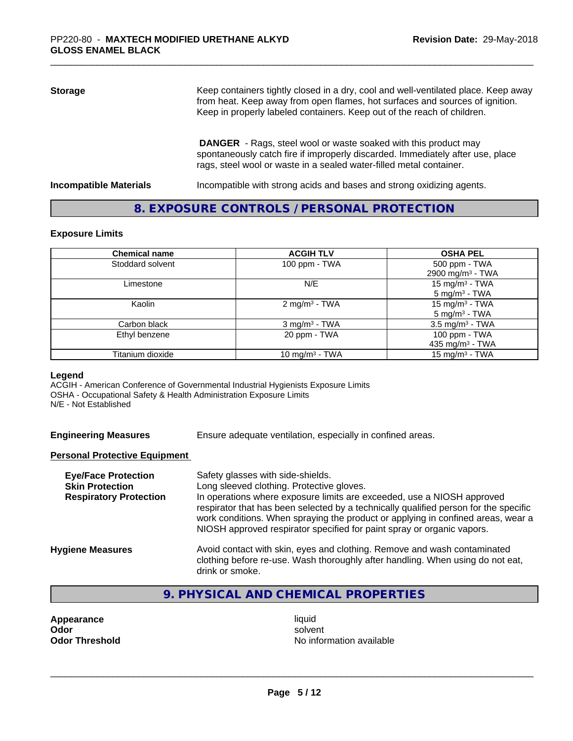# **Storage** Keep containers tightly closed in a dry, cool and well-ventilated place. Keep away from heat. Keep away from open flames, hot surfaces and sources of ignition. Keep in properly labeled containers. Keep out of the reach of children.  **DANGER** - Rags, steel wool or waste soaked with this product may

spontaneously catch fire if improperly discarded. Immediately after use, place rags, steel wool or waste in a sealed water-filled metal container.

**Incompatible Materials Incompatible with strong acids and bases and strong oxidizing agents.** 

## **8. EXPOSURE CONTROLS / PERSONAL PROTECTION**

#### **Exposure Limits**

| <b>Chemical name</b> | <b>ACGIH TLV</b>            | <b>OSHA PEL</b>               |
|----------------------|-----------------------------|-------------------------------|
| Stoddard solvent     | 100 ppm - TWA               | 500 ppm - TWA                 |
|                      |                             | 2900 mg/m <sup>3</sup> - TWA  |
| Limestone            | N/E                         | 15 mg/m <sup>3</sup> - TWA    |
|                      |                             | $5 \text{ mg/m}^3$ - TWA      |
| Kaolin               | 2 mg/m <sup>3</sup> - TWA   | 15 mg/m <sup>3</sup> - TWA    |
|                      |                             | 5 mg/m <sup>3</sup> - TWA     |
| Carbon black         | $3$ mg/m <sup>3</sup> - TWA | $3.5$ mg/m <sup>3</sup> - TWA |
| Ethyl benzene        | 20 ppm - TWA                | 100 ppm - TWA                 |
|                      |                             | 435 mg/m <sup>3</sup> - TWA   |
| Titanium dioxide     | 10 mg/m <sup>3</sup> - TWA  | 15 mg/m $3$ - TWA             |

#### **Legend**

ACGIH - American Conference of Governmental Industrial Hygienists Exposure Limits OSHA - Occupational Safety & Health Administration Exposure Limits N/E - Not Established

**Engineering Measures** Ensure adequate ventilation, especially in confined areas.

#### **Personal Protective Equipment**

| work conditions. When spraying the product or applying in confined areas, wear a<br>NIOSH approved respirator specified for paint spray or organic vapors.                                               | <b>Eye/Face Protection</b><br><b>Skin Protection</b><br><b>Respiratory Protection</b> | Safety glasses with side-shields.<br>Long sleeved clothing. Protective gloves.<br>In operations where exposure limits are exceeded, use a NIOSH approved<br>respirator that has been selected by a technically qualified person for the specific |
|----------------------------------------------------------------------------------------------------------------------------------------------------------------------------------------------------------|---------------------------------------------------------------------------------------|--------------------------------------------------------------------------------------------------------------------------------------------------------------------------------------------------------------------------------------------------|
| Avoid contact with skin, eyes and clothing. Remove and wash contaminated<br><b>Hygiene Measures</b><br>clothing before re-use. Wash thoroughly after handling. When using do not eat,<br>drink or smoke. |                                                                                       |                                                                                                                                                                                                                                                  |

## **9. PHYSICAL AND CHEMICAL PROPERTIES**

| Appearance            |
|-----------------------|
| Odor                  |
| <b>Odor Threshold</b> |

**Appearance** and the contract of the contract of the contract of the contract of the contract of the contract of the contract of the contract of the contract of the contract of the contract of the contract of the contract **Odor** solvent **Odor Threshold** No information available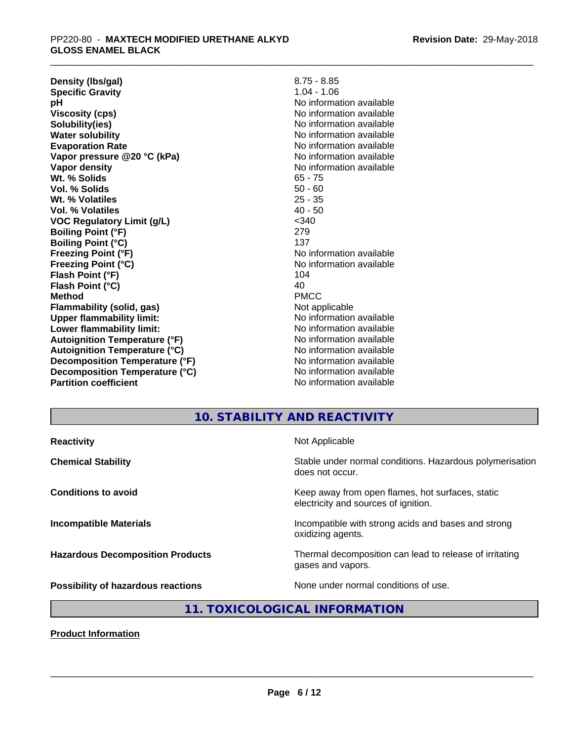| Density (Ibs/gal)                    | $8.75 - 8.85$            |
|--------------------------------------|--------------------------|
| <b>Specific Gravity</b>              | $1.04 - 1.06$            |
| рH                                   | No information available |
| <b>Viscosity (cps)</b>               | No information available |
| Solubility(ies)                      | No information available |
| <b>Water solubility</b>              | No information available |
| <b>Evaporation Rate</b>              | No information available |
| Vapor pressure @20 °C (kPa)          | No information available |
| Vapor density                        | No information available |
| Wt. % Solids                         | $65 - 75$                |
| Vol. % Solids                        | $50 - 60$                |
| Wt. % Volatiles                      | $25 - 35$                |
| Vol. % Volatiles                     | $40 - 50$                |
| <b>VOC Regulatory Limit (g/L)</b>    | < 340                    |
| <b>Boiling Point (°F)</b>            | 279                      |
| <b>Boiling Point (°C)</b>            | 137                      |
| <b>Freezing Point (°F)</b>           | No information available |
| <b>Freezing Point (°C)</b>           | No information available |
| Flash Point (°F)                     | 104                      |
| Flash Point (°C)                     | 40                       |
| <b>Method</b>                        | <b>PMCC</b>              |
| <b>Flammability (solid, gas)</b>     | Not applicable           |
| <b>Upper flammability limit:</b>     | No information available |
| Lower flammability limit:            | No information available |
| <b>Autoignition Temperature (°F)</b> | No information available |
| <b>Autoignition Temperature (°C)</b> | No information available |
| Decomposition Temperature (°F)       | No information available |
| Decomposition Temperature (°C)       | No information available |
| <b>Partition coefficient</b>         | No information available |

## **10. STABILITY AND REACTIVITY**

| <b>Reactivity</b>                         | Not Applicable                                                                           |
|-------------------------------------------|------------------------------------------------------------------------------------------|
| <b>Chemical Stability</b>                 | Stable under normal conditions. Hazardous polymerisation<br>does not occur.              |
| <b>Conditions to avoid</b>                | Keep away from open flames, hot surfaces, static<br>electricity and sources of ignition. |
| <b>Incompatible Materials</b>             | Incompatible with strong acids and bases and strong<br>oxidizing agents.                 |
| <b>Hazardous Decomposition Products</b>   | Thermal decomposition can lead to release of irritating<br>gases and vapors.             |
| <b>Possibility of hazardous reactions</b> | None under normal conditions of use.                                                     |

# **11. TOXICOLOGICAL INFORMATION**

**Product Information**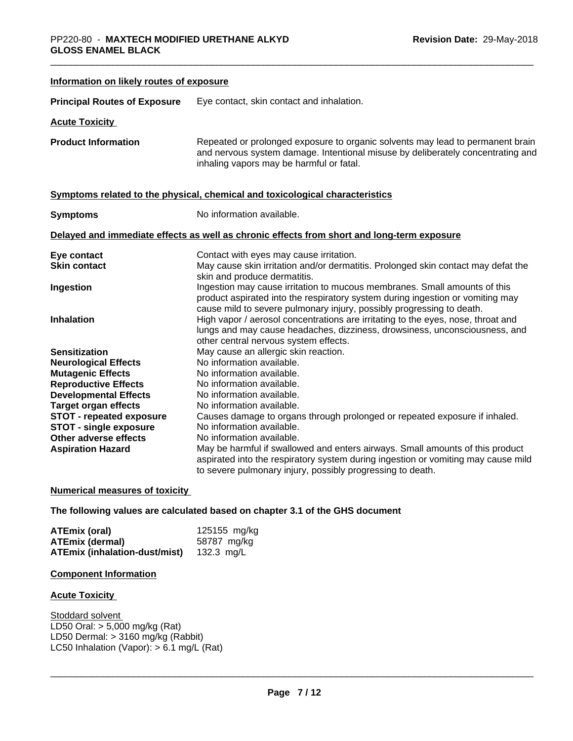| Information on likely routes of exposure                       |                                                                                                                                                                                                                                      |  |
|----------------------------------------------------------------|--------------------------------------------------------------------------------------------------------------------------------------------------------------------------------------------------------------------------------------|--|
| <b>Principal Routes of Exposure</b>                            | Eye contact, skin contact and inhalation.                                                                                                                                                                                            |  |
| <b>Acute Toxicity</b>                                          |                                                                                                                                                                                                                                      |  |
| <b>Product Information</b>                                     | Repeated or prolonged exposure to organic solvents may lead to permanent brain<br>and nervous system damage. Intentional misuse by deliberately concentrating and<br>inhaling vapors may be harmful or fatal.                        |  |
|                                                                | Symptoms related to the physical, chemical and toxicological characteristics                                                                                                                                                         |  |
| <b>Symptoms</b>                                                | No information available.                                                                                                                                                                                                            |  |
|                                                                | Delayed and immediate effects as well as chronic effects from short and long-term exposure                                                                                                                                           |  |
| Eye contact                                                    | Contact with eyes may cause irritation.                                                                                                                                                                                              |  |
| <b>Skin contact</b>                                            | May cause skin irritation and/or dermatitis. Prolonged skin contact may defat the<br>skin and produce dermatitis.                                                                                                                    |  |
| Ingestion                                                      | Ingestion may cause irritation to mucous membranes. Small amounts of this<br>product aspirated into the respiratory system during ingestion or vomiting may<br>cause mild to severe pulmonary injury, possibly progressing to death. |  |
| <b>Inhalation</b>                                              | High vapor / aerosol concentrations are irritating to the eyes, nose, throat and<br>lungs and may cause headaches, dizziness, drowsiness, unconsciousness, and<br>other central nervous system effects.                              |  |
| <b>Sensitization</b>                                           | May cause an allergic skin reaction.                                                                                                                                                                                                 |  |
| <b>Neurological Effects</b>                                    | No information available.                                                                                                                                                                                                            |  |
| <b>Mutagenic Effects</b>                                       | No information available.                                                                                                                                                                                                            |  |
| <b>Reproductive Effects</b>                                    | No information available.                                                                                                                                                                                                            |  |
| <b>Developmental Effects</b>                                   | No information available.                                                                                                                                                                                                            |  |
| <b>Target organ effects</b><br><b>STOT - repeated exposure</b> | No information available.<br>Causes damage to organs through prolonged or repeated exposure if inhaled.                                                                                                                              |  |
| <b>STOT - single exposure</b>                                  | No information available.                                                                                                                                                                                                            |  |
| Other adverse effects                                          | No information available.                                                                                                                                                                                                            |  |
| <b>Aspiration Hazard</b>                                       | May be harmful if swallowed and enters airways. Small amounts of this product<br>aspirated into the respiratory system during ingestion or vomiting may cause mild<br>to severe pulmonary injury, possibly progressing to death.     |  |

#### **Numerical measures of toxicity**

**The following values are calculated based on chapter 3.1 of the GHS document**

| ATEmix (oral)                        | 125155 mg/kg |
|--------------------------------------|--------------|
| <b>ATEmix (dermal)</b>               | 58787 mg/kg  |
| <b>ATEmix (inhalation-dust/mist)</b> | 132.3 ma/L   |

#### **Component Information**

#### **Acute Toxicity**

Stoddard solvent LD50 Oral: > 5,000 mg/kg (Rat) LD50 Dermal: > 3160 mg/kg (Rabbit) LC50 Inhalation (Vapor): > 6.1 mg/L (Rat)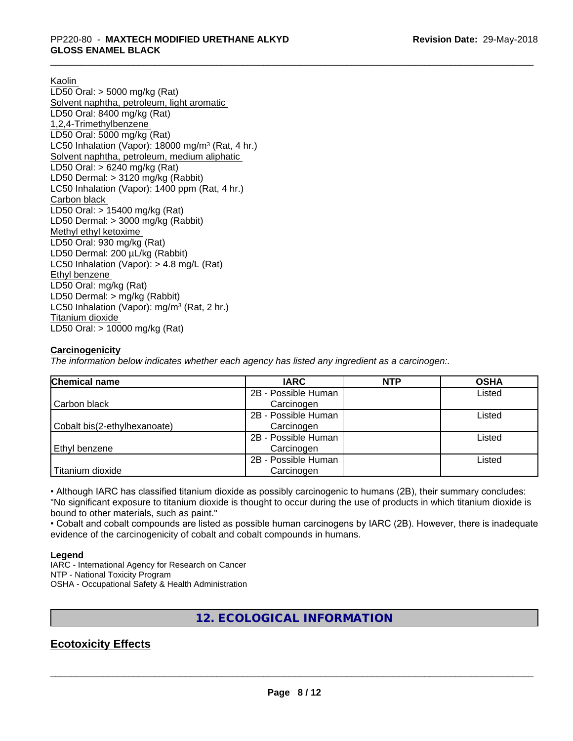Kaolin

LD50 Oral: > 5000 mg/kg (Rat) Solvent naphtha, petroleum, light aromatic LD50 Oral: 8400 mg/kg (Rat) 1,2,4-Trimethylbenzene LD50 Oral: 5000 mg/kg (Rat) LC50 Inhalation (Vapor): 18000 mg/m<sup>3</sup> (Rat, 4 hr.) Solvent naphtha, petroleum, medium aliphatic LD50 Oral: > 6240 mg/kg (Rat) LD50 Dermal: > 3120 mg/kg (Rabbit) LC50 Inhalation (Vapor): 1400 ppm (Rat, 4 hr.) Carbon black LD50 Oral: > 15400 mg/kg (Rat) LD50 Dermal: > 3000 mg/kg (Rabbit) Methyl ethyl ketoxime LD50 Oral: 930 mg/kg (Rat) LD50 Dermal: 200 µL/kg (Rabbit) LC50 Inhalation (Vapor): > 4.8 mg/L (Rat) Ethyl benzene LD50 Oral: mg/kg (Rat) LD50 Dermal: > mg/kg (Rabbit) LC50 Inhalation (Vapor): mg/m<sup>3</sup> (Rat, 2 hr.) Titanium dioxide LD50 Oral: > 10000 mg/kg (Rat)

#### **Carcinogenicity**

*The information below indicateswhether each agency has listed any ingredient as a carcinogen:.*

| <b>Chemical name</b>         | <b>IARC</b>         | <b>NTP</b> | <b>OSHA</b> |
|------------------------------|---------------------|------------|-------------|
|                              | 2B - Possible Human |            | Listed      |
| Carbon black                 | Carcinogen          |            |             |
|                              | 2B - Possible Human |            | Listed      |
| Cobalt bis(2-ethylhexanoate) | Carcinogen          |            |             |
|                              | 2B - Possible Human |            | Listed      |
| Ethyl benzene                | Carcinogen          |            |             |
|                              | 2B - Possible Human |            | Listed      |
| Titanium dioxide             | Carcinogen          |            |             |

• Although IARC has classified titanium dioxide as possibly carcinogenic to humans (2B), their summary concludes: "No significant exposure to titanium dioxide is thought to occur during the use of products in which titanium dioxide is bound to other materials, such as paint."

• Cobalt and cobalt compounds are listed as possible human carcinogens by IARC (2B). However, there is inadequate evidence of the carcinogenicity of cobalt and cobalt compounds in humans.

#### **Legend**

IARC - International Agency for Research on Cancer NTP - National Toxicity Program OSHA - Occupational Safety & Health Administration

## **12. ECOLOGICAL INFORMATION**

## **Ecotoxicity Effects**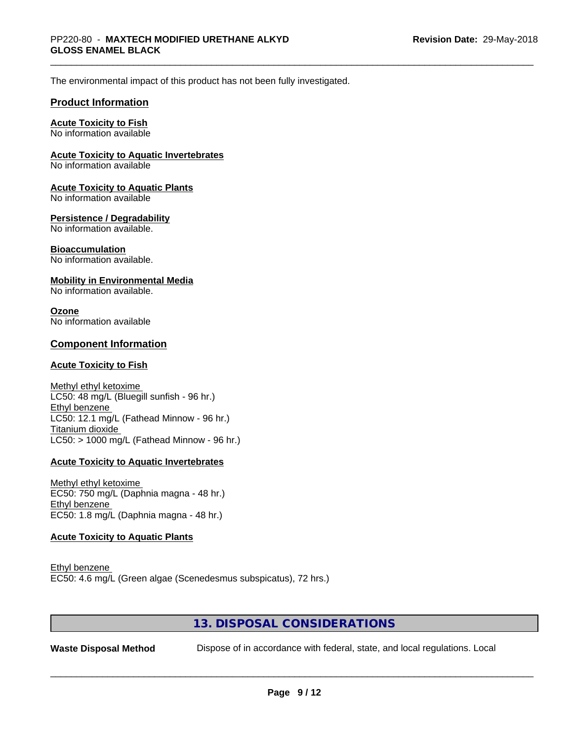The environmental impact of this product has not been fully investigated.

#### **Product Information**

#### **Acute Toxicity to Fish**

No information available

#### **Acute Toxicity to Aquatic Invertebrates**

No information available

#### **Acute Toxicity to Aquatic Plants**

No information available

#### **Persistence / Degradability**

No information available.

#### **Bioaccumulation**

No information available.

#### **Mobility in Environmental Media**

No information available.

#### **Ozone**

No information available

#### **Component Information**

#### **Acute Toxicity to Fish**

Methyl ethyl ketoxime LC50: 48 mg/L (Bluegill sunfish - 96 hr.) Ethyl benzene LC50: 12.1 mg/L (Fathead Minnow - 96 hr.) Titanium dioxide  $LC50:$  > 1000 mg/L (Fathead Minnow - 96 hr.)

#### **Acute Toxicity to Aquatic Invertebrates**

Methyl ethyl ketoxime EC50: 750 mg/L (Daphnia magna - 48 hr.) Ethyl benzene EC50: 1.8 mg/L (Daphnia magna - 48 hr.)

#### **Acute Toxicity to Aquatic Plants**

Ethyl benzene EC50: 4.6 mg/L (Green algae (Scenedesmus subspicatus), 72 hrs.)

## **13. DISPOSAL CONSIDERATIONS**

Waste Disposal Method **Dispose of in accordance with federal, state, and local regulations. Local**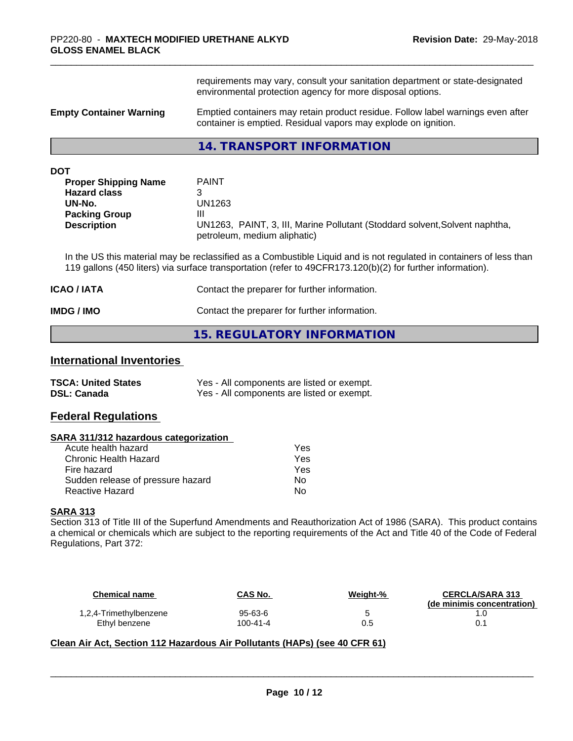requirements may vary, consult your sanitation department or state-designated environmental protection agency for more disposal options.

**Empty Container Warning Emptied containers may retain product residue. Follow label warnings even after** container is emptied. Residual vapors may explode on ignition.

#### **14. TRANSPORT INFORMATION**

| DOT                         |                                                                                                             |
|-----------------------------|-------------------------------------------------------------------------------------------------------------|
| <b>Proper Shipping Name</b> | <b>PAINT</b>                                                                                                |
| <b>Hazard class</b>         |                                                                                                             |
| UN-No.                      | UN1263                                                                                                      |
| <b>Packing Group</b>        | Ш                                                                                                           |
| <b>Description</b>          | UN1263, PAINT, 3, III, Marine Pollutant (Stoddard solvent, Solvent naphtha,<br>petroleum, medium aliphatic) |

In the US this material may be reclassified as a Combustible Liquid and is not regulated in containers of less than 119 gallons (450 liters) via surface transportation (refer to 49CFR173.120(b)(2) for further information).

| ICAO / IATA | Contact the preparer for further information. |
|-------------|-----------------------------------------------|
| IMDG / IMO  | Contact the preparer for further information. |

#### **15. REGULATORY INFORMATION**

## **International Inventories**

| <b>TSCA: United States</b> | Yes - All components are listed or exempt. |
|----------------------------|--------------------------------------------|
| <b>DSL: Canada</b>         | Yes - All components are listed or exempt. |

### **Federal Regulations**

#### **SARA 311/312 hazardous categorization**

| Acute health hazard               | Yes |
|-----------------------------------|-----|
| Chronic Health Hazard             | Yes |
| Fire hazard                       | Yes |
| Sudden release of pressure hazard | N٥  |
| Reactive Hazard                   | N٥  |

#### **SARA 313**

Section 313 of Title III of the Superfund Amendments and Reauthorization Act of 1986 (SARA). This product contains a chemical or chemicals which are subject to the reporting requirements of the Act and Title 40 of the Code of Federal Regulations, Part 372:

| <b>Chemical name</b>   | CAS No.  | Weight-% | <b>CERCLA/SARA 313</b><br>(de minimis concentration) |
|------------------------|----------|----------|------------------------------------------------------|
| 1,2,4-Trimethylbenzene | 95-63-6  |          |                                                      |
| Ethyl benzene          | 100-41-4 | 0.5      |                                                      |

 $\overline{\phantom{a}}$  ,  $\overline{\phantom{a}}$  ,  $\overline{\phantom{a}}$  ,  $\overline{\phantom{a}}$  ,  $\overline{\phantom{a}}$  ,  $\overline{\phantom{a}}$  ,  $\overline{\phantom{a}}$  ,  $\overline{\phantom{a}}$  ,  $\overline{\phantom{a}}$  ,  $\overline{\phantom{a}}$  ,  $\overline{\phantom{a}}$  ,  $\overline{\phantom{a}}$  ,  $\overline{\phantom{a}}$  ,  $\overline{\phantom{a}}$  ,  $\overline{\phantom{a}}$  ,  $\overline{\phantom{a}}$ 

## **Clean Air Act,Section 112 Hazardous Air Pollutants (HAPs) (see 40 CFR 61)**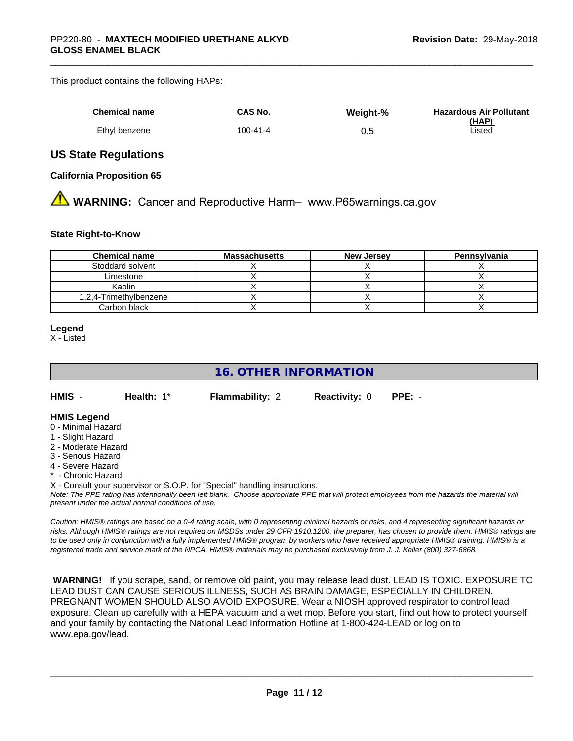#### This product contains the following HAPs:

| Chemical name | CAS No.        | Weight-% | <b>Hazardous Air Pollutant</b> |
|---------------|----------------|----------|--------------------------------|
|               |                |          | (HAP)                          |
| Ethyl benzene | $100 - 41 - 4$ | U.O      | Listed                         |

#### **US State Regulations**

#### **California Proposition 65**

**WARNING:** Cancer and Reproductive Harm– www.P65warnings.ca.gov

#### **State Right-to-Know**

| <b>Chemical name</b>   | <b>Massachusetts</b> | <b>New Jersey</b> | Pennsylvania |
|------------------------|----------------------|-------------------|--------------|
| Stoddard solvent       |                      |                   |              |
| Limestone              |                      |                   |              |
| Kaolin                 |                      |                   |              |
| 1,2,4-Trimethylbenzene |                      |                   |              |
| Carbon black           |                      |                   |              |

#### **Legend**

X - Listed

## **16. OTHER INFORMATION**

**HMIS** - **Health:** 1\* **Flammability:** 2 **Reactivity:** 0 **PPE:** -

#### **HMIS Legend**

- 0 Minimal Hazard
- 1 Slight Hazard
- 2 Moderate Hazard
- 3 Serious Hazard
- 4 Severe Hazard
- \* Chronic Hazard
- X Consult your supervisor or S.O.P. for "Special" handling instructions.

*Note: The PPE rating has intentionally been left blank. Choose appropriate PPE that will protect employees from the hazards the material will present under the actual normal conditions of use.*

*Caution: HMISÒ ratings are based on a 0-4 rating scale, with 0 representing minimal hazards or risks, and 4 representing significant hazards or risks. Although HMISÒ ratings are not required on MSDSs under 29 CFR 1910.1200, the preparer, has chosen to provide them. HMISÒ ratings are to be used only in conjunction with a fully implemented HMISÒ program by workers who have received appropriate HMISÒ training. HMISÒ is a registered trade and service mark of the NPCA. HMISÒ materials may be purchased exclusively from J. J. Keller (800) 327-6868.*

 **WARNING!** If you scrape, sand, or remove old paint, you may release lead dust. LEAD IS TOXIC. EXPOSURE TO LEAD DUST CAN CAUSE SERIOUS ILLNESS, SUCH AS BRAIN DAMAGE, ESPECIALLY IN CHILDREN. PREGNANT WOMEN SHOULD ALSO AVOID EXPOSURE. Wear a NIOSH approved respirator to control lead exposure. Clean up carefully with a HEPA vacuum and a wet mop. Before you start, find out how to protect yourself and your family by contacting the National Lead Information Hotline at 1-800-424-LEAD or log on to www.epa.gov/lead.